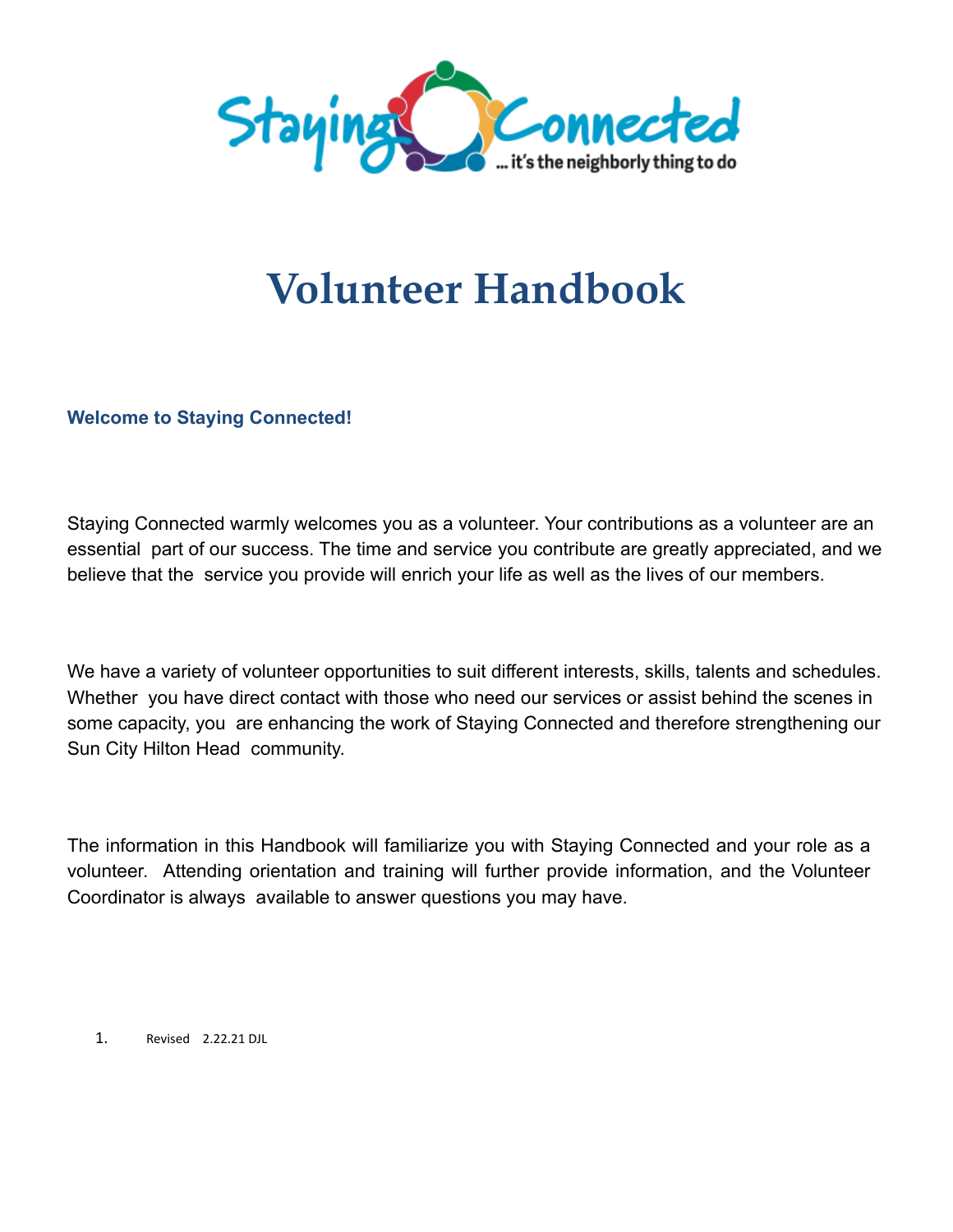

# **Volunteer Handbook**

**Welcome to Staying Connected!**

Staying Connected warmly welcomes you as a volunteer. Your contributions as a volunteer are an essential part of our success. The time and service you contribute are greatly appreciated, and we believe that the service you provide will enrich your life as well as the lives of our members.

We have a variety of volunteer opportunities to suit different interests, skills, talents and schedules. Whether you have direct contact with those who need our services or assist behind the scenes in some capacity, you are enhancing the work of Staying Connected and therefore strengthening our Sun City Hilton Head community.

The information in this Handbook will familiarize you with Staying Connected and your role as a volunteer. Attending orientation and training will further provide information, and the Volunteer Coordinator is always available to answer questions you may have.

1. Revised 2.22.21 DJL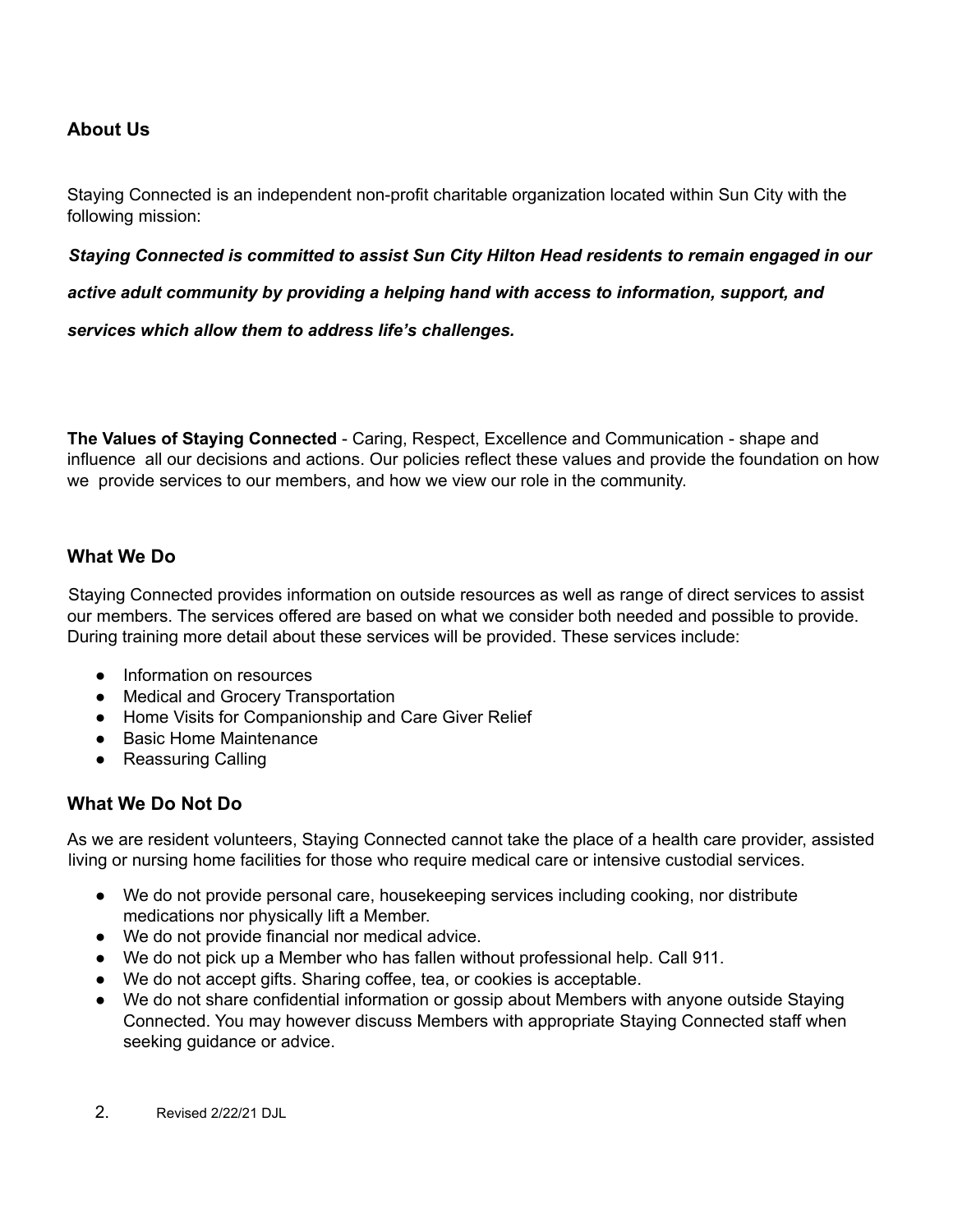# **About Us**

Staying Connected is an independent non-profit charitable organization located within Sun City with the following mission:

#### *Staying Connected is committed to assist Sun City Hilton Head residents to remain engaged in our*

*active adult community by providing a helping hand with access to information, support, and*

*services which allow them to address life's challenges.*

**The Values of Staying Connected** - Caring, Respect, Excellence and Communication - shape and influence all our decisions and actions. Our policies reflect these values and provide the foundation on how we provide services to our members, and how we view our role in the community.

#### **What We Do**

Staying Connected provides information on outside resources as well as range of direct services to assist our members. The services offered are based on what we consider both needed and possible to provide. During training more detail about these services will be provided. These services include:

- Information on resources
- Medical and Grocery Transportation
- Home Visits for Companionship and Care Giver Relief
- Basic Home Maintenance
- Reassuring Calling

#### **What We Do Not Do**

As we are resident volunteers, Staying Connected cannot take the place of a health care provider, assisted living or nursing home facilities for those who require medical care or intensive custodial services.

- We do not provide personal care, housekeeping services including cooking, nor distribute medications nor physically lift a Member.
- We do not provide financial nor medical advice.
- We do not pick up a Member who has fallen without professional help. Call 911.
- We do not accept gifts. Sharing coffee, tea, or cookies is acceptable.
- We do not share confidential information or gossip about Members with anyone outside Staying Connected. You may however discuss Members with appropriate Staying Connected staff when seeking guidance or advice.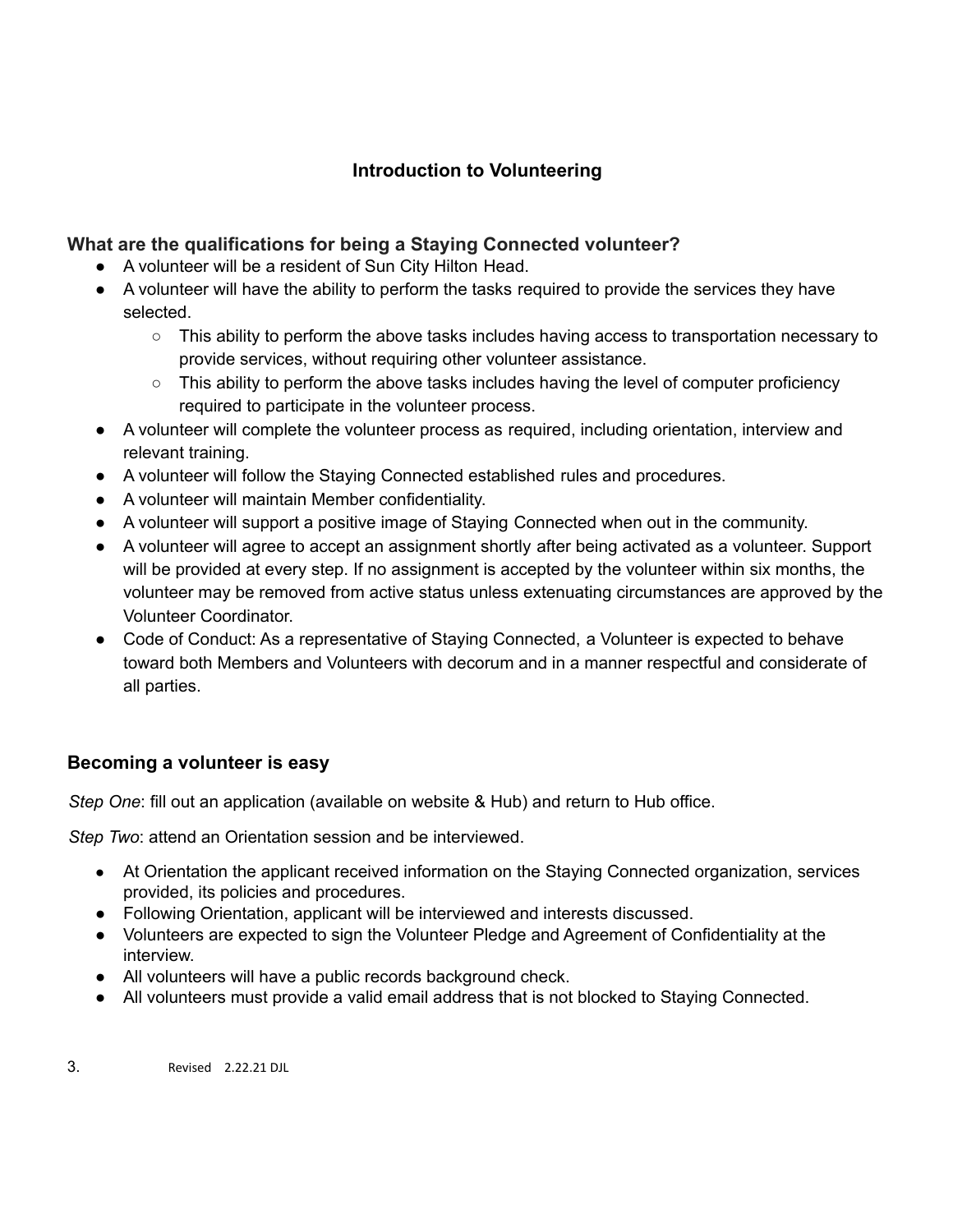# **Introduction to Volunteering**

## **What are the qualifications for being a Staying Connected volunteer?**

- A volunteer will be a resident of Sun City Hilton Head.
- A volunteer will have the ability to perform the tasks required to provide the services they have selected.
	- This ability to perform the above tasks includes having access to transportation necessary to provide services, without requiring other volunteer assistance.
	- $\circ$  This ability to perform the above tasks includes having the level of computer proficiency required to participate in the volunteer process.
- A volunteer will complete the volunteer process as required, including orientation, interview and relevant training.
- A volunteer will follow the Staying Connected established rules and procedures.
- A volunteer will maintain Member confidentiality.
- A volunteer will support a positive image of Staying Connected when out in the community.
- A volunteer will agree to accept an assignment shortly after being activated as a volunteer. Support will be provided at every step. If no assignment is accepted by the volunteer within six months, the volunteer may be removed from active status unless extenuating circumstances are approved by the Volunteer Coordinator.
- Code of Conduct: As a representative of Staying Connected, a Volunteer is expected to behave toward both Members and Volunteers with decorum and in a manner respectful and considerate of all parties.

### **Becoming a volunteer is easy**

*Step One*: fill out an application (available on website & Hub) and return to Hub office.

*Step Two*: attend an Orientation session and be interviewed.

- At Orientation the applicant received information on the Staying Connected organization, services provided, its policies and procedures.
- Following Orientation, applicant will be interviewed and interests discussed.
- Volunteers are expected to sign the Volunteer Pledge and Agreement of Confidentiality at the interview.
- All volunteers will have a public records background check.
- All volunteers must provide a valid email address that is not blocked to Staying Connected.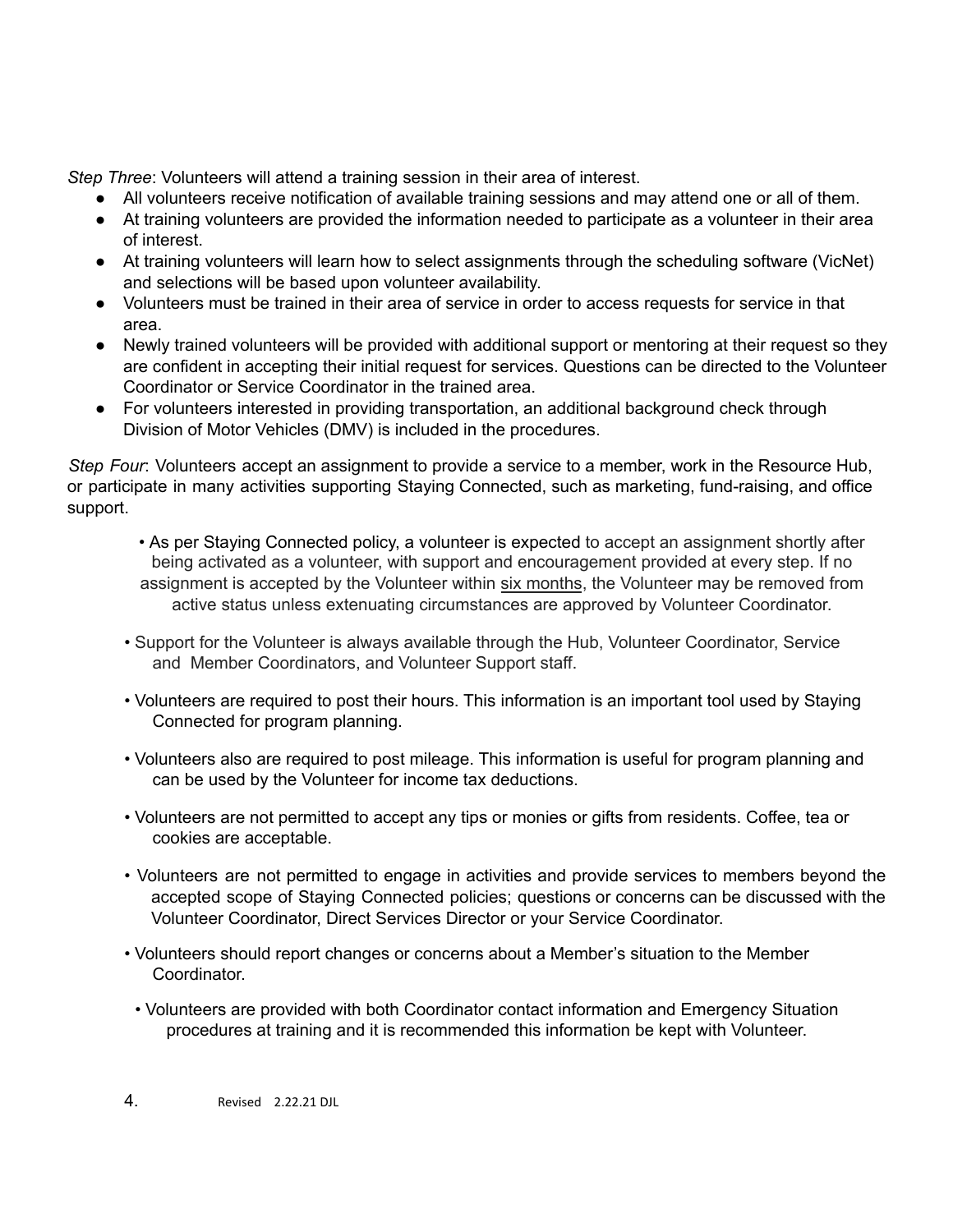*Step Three*: Volunteers will attend a training session in their area of interest.

- All volunteers receive notification of available training sessions and may attend one or all of them.
- At training volunteers are provided the information needed to participate as a volunteer in their area of interest.
- At training volunteers will learn how to select assignments through the scheduling software (VicNet) and selections will be based upon volunteer availability.
- Volunteers must be trained in their area of service in order to access requests for service in that area.
- Newly trained volunteers will be provided with additional support or mentoring at their request so they are confident in accepting their initial request for services. Questions can be directed to the Volunteer Coordinator or Service Coordinator in the trained area.
- For volunteers interested in providing transportation, an additional background check through Division of Motor Vehicles (DMV) is included in the procedures.

*Step Four*: Volunteers accept an assignment to provide a service to a member, work in the Resource Hub, or participate in many activities supporting Staying Connected, such as marketing, fund-raising, and office support.

- As per Staying Connected policy, a volunteer is expected to accept an assignment shortly after being activated as a volunteer, with support and encouragement provided at every step. If no assignment is accepted by the Volunteer within six months, the Volunteer may be removed from active status unless extenuating circumstances are approved by Volunteer Coordinator.
- Support for the Volunteer is always available through the Hub, Volunteer Coordinator, Service and Member Coordinators, and Volunteer Support staff.
- Volunteers are required to post their hours. This information is an important tool used by Staying Connected for program planning.
- Volunteers also are required to post mileage. This information is useful for program planning and can be used by the Volunteer for income tax deductions.
- Volunteers are not permitted to accept any tips or monies or gifts from residents. Coffee, tea or cookies are acceptable.
- Volunteers are not permitted to engage in activities and provide services to members beyond the accepted scope of Staying Connected policies; questions or concerns can be discussed with the Volunteer Coordinator, Direct Services Director or your Service Coordinator.
- Volunteers should report changes or concerns about a Member's situation to the Member Coordinator.
- Volunteers are provided with both Coordinator contact information and Emergency Situation procedures at training and it is recommended this information be kept with Volunteer.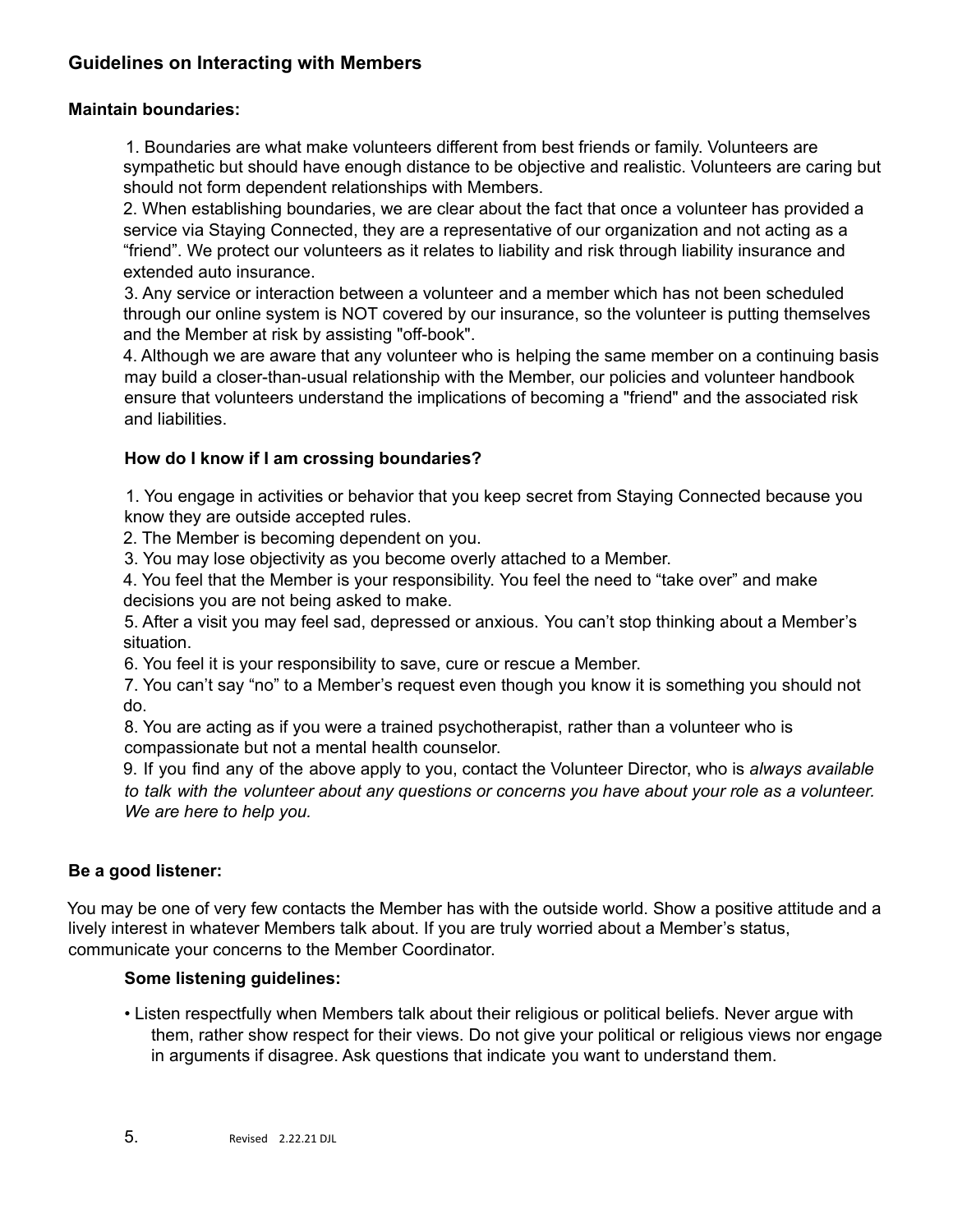#### **Guidelines on Interacting with Members**

#### **Maintain boundaries:**

1. Boundaries are what make volunteers different from best friends or family. Volunteers are sympathetic but should have enough distance to be objective and realistic. Volunteers are caring but should not form dependent relationships with Members.

2. When establishing boundaries, we are clear about the fact that once a volunteer has provided a service via Staying Connected, they are a representative of our organization and not acting as a "friend". We protect our volunteers as it relates to liability and risk through liability insurance and extended auto insurance.

3. Any service or interaction between a volunteer and a member which has not been scheduled through our online system is NOT covered by our insurance, so the volunteer is putting themselves and the Member at risk by assisting "off-book".

4. Although we are aware that any volunteer who is helping the same member on a continuing basis may build a closer-than-usual relationship with the Member, our policies and volunteer handbook ensure that volunteers understand the implications of becoming a "friend" and the associated risk and liabilities.

#### **How do I know if I am crossing boundaries?**

1. You engage in activities or behavior that you keep secret from Staying Connected because you know they are outside accepted rules.

2. The Member is becoming dependent on you.

3. You may lose objectivity as you become overly attached to a Member.

4. You feel that the Member is your responsibility. You feel the need to "take over" and make decisions you are not being asked to make.

5. After a visit you may feel sad, depressed or anxious. You can't stop thinking about a Member's situation.

6. You feel it is your responsibility to save, cure or rescue a Member.

7. You can't say "no" to a Member's request even though you know it is something you should not do.

8. You are acting as if you were a trained psychotherapist, rather than a volunteer who is compassionate but not a mental health counselor.

9. If you find any of the above apply to you, contact the Volunteer Director, who is *always available* to talk with the volunteer about any questions or concerns you have about your role as a volunteer. *We are here to help you.*

#### **Be a good listener:**

You may be one of very few contacts the Member has with the outside world. Show a positive attitude and a lively interest in whatever Members talk about. If you are truly worried about a Member's status, communicate your concerns to the Member Coordinator.

#### **Some listening guidelines:**

• Listen respectfully when Members talk about their religious or political beliefs. Never argue with them, rather show respect for their views. Do not give your political or religious views nor engage in arguments if disagree. Ask questions that indicate you want to understand them.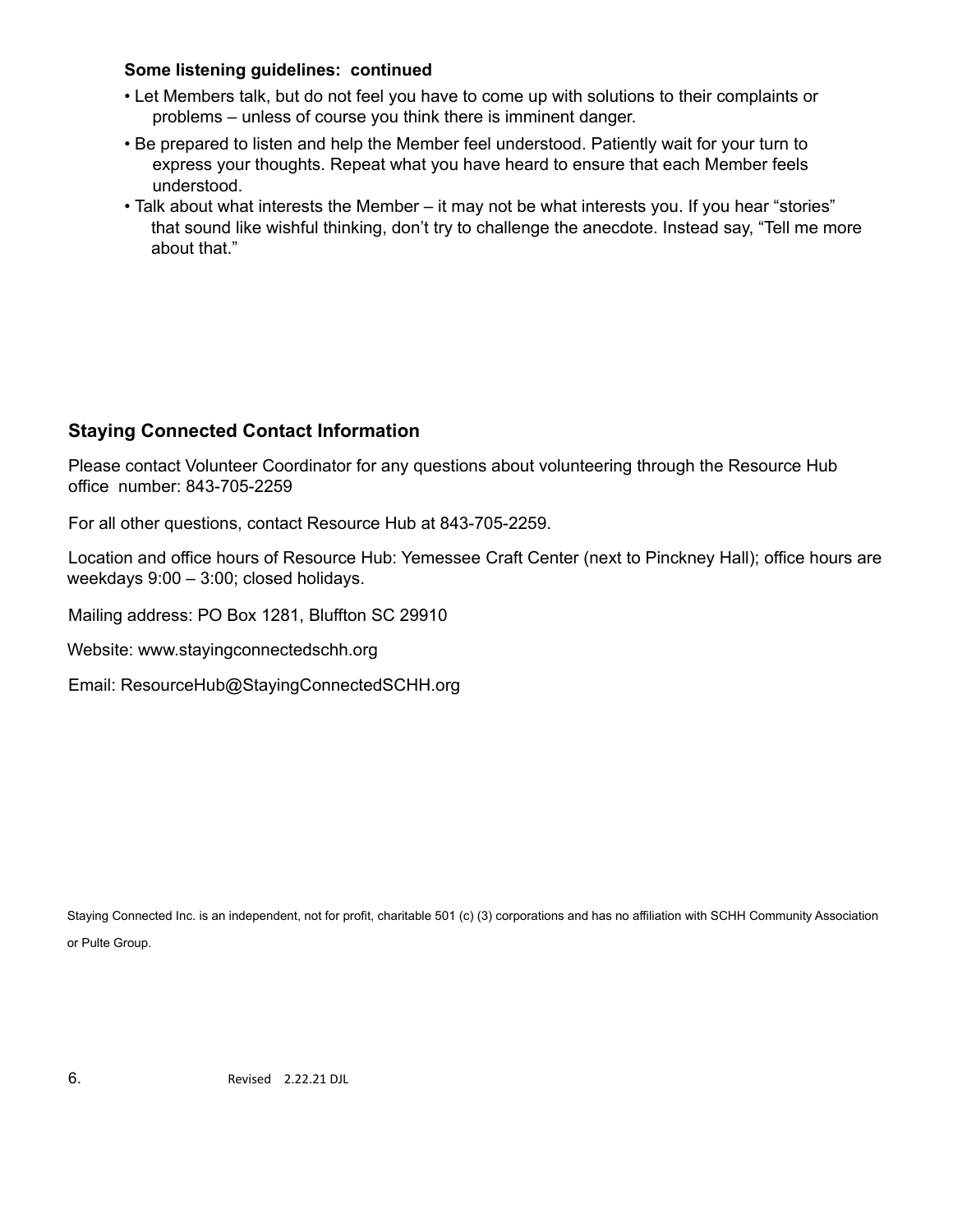#### **Some listening guidelines: continued**

- Let Members talk, but do not feel you have to come up with solutions to their complaints or problems – unless of course you think there is imminent danger.
- Be prepared to listen and help the Member feel understood. Patiently wait for your turn to express your thoughts. Repeat what you have heard to ensure that each Member feels understood.
- Talk about what interests the Member it may not be what interests you. If you hear "stories" that sound like wishful thinking, don't try to challenge the anecdote. Instead say, "Tell me more about that."

#### **Staying Connected Contact Information**

Please contact Volunteer Coordinator for any questions about volunteering through the Resource Hub office number: 843-705-2259

For all other questions, contact Resource Hub at 843-705-2259.

Location and office hours of Resource Hub: Yemessee Craft Center (next to Pinckney Hall); office hours are weekdays 9:00 – 3:00; closed holidays.

Mailing address: PO Box 1281, Bluffton SC 29910

Website: www.stayingconnectedschh.org

Email: ResourceHub@StayingConnectedSCHH.org

Staying Connected Inc. is an independent, not for profit, charitable 501 (c) (3) corporations and has no affiliation with SCHH Community Association or Pulte Group.